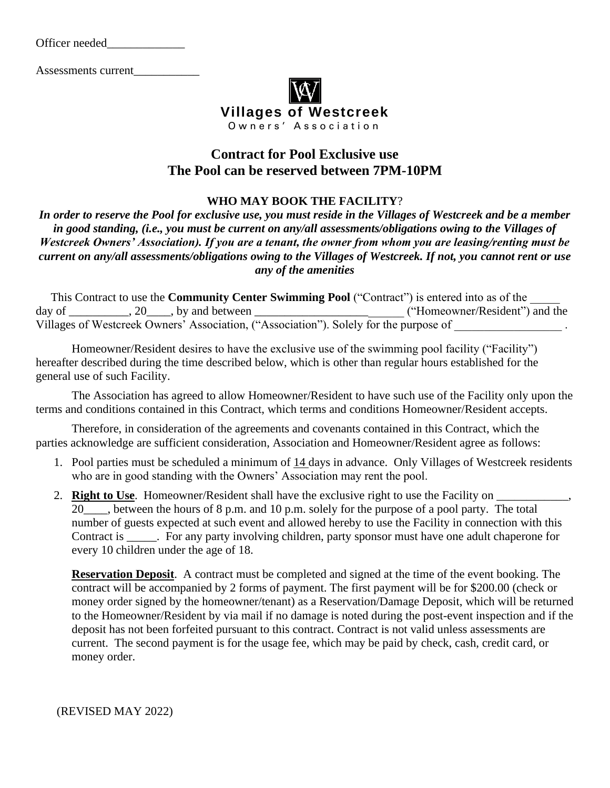Officer needed\_\_\_\_\_\_\_\_\_\_\_\_\_

Assessments current\_\_\_\_\_\_\_\_\_\_\_



## **Contract for Pool Exclusive use The Pool can be reserved between 7PM-10PM**

### **WHO MAY BOOK THE FACILITY**?

*In order to reserve the Pool for exclusive use, you must reside in the Villages of Westcreek and be a member in good standing, (i.e., you must be current on any/all assessments/obligations owing to the Villages of Westcreek Owners' Association). If you are a tenant, the owner from whom you are leasing/renting must be current on any/all assessments/obligations owing to the Villages of Westcreek. If not, you cannot rent or use any of the amenities*

| This Contract to use the <b>Community Center Swimming Pool</b> ("Contract") is entered into as of the |                                |
|-------------------------------------------------------------------------------------------------------|--------------------------------|
| day of<br>$\frac{1}{2}$ , 20, by and between                                                          | ("Homeowner/Resident") and the |
| Villages of Westcreek Owners' Association, ("Association"). Solely for the purpose of                 |                                |

Homeowner/Resident desires to have the exclusive use of the swimming pool facility ("Facility") hereafter described during the time described below, which is other than regular hours established for the general use of such Facility.

The Association has agreed to allow Homeowner/Resident to have such use of the Facility only upon the terms and conditions contained in this Contract, which terms and conditions Homeowner/Resident accepts.

Therefore, in consideration of the agreements and covenants contained in this Contract, which the parties acknowledge are sufficient consideration, Association and Homeowner/Resident agree as follows:

- 1. Pool parties must be scheduled a minimum of  $14$  days in advance. Only Villages of Westcreek residents who are in good standing with the Owners' Association may rent the pool.
- 2. **Right to Use**. Homeowner/Resident shall have the exclusive right to use the Facility on 20\_\_\_\_, between the hours of 8 p.m. and 10 p.m. solely for the purpose of a pool party. The total number of guests expected at such event and allowed hereby to use the Facility in connection with this Contract is \_\_\_\_\_. For any party involving children, party sponsor must have one adult chaperone for every 10 children under the age of 18.

**Reservation Deposit**. A contract must be completed and signed at the time of the event booking. The contract will be accompanied by 2 forms of payment. The first payment will be for \$200.00 (check or money order signed by the homeowner/tenant) as a Reservation/Damage Deposit, which will be returned to the Homeowner/Resident by via mail if no damage is noted during the post-event inspection and if the deposit has not been forfeited pursuant to this contract. Contract is not valid unless assessments are current. The second payment is for the usage fee, which may be paid by check, cash, credit card, or money order.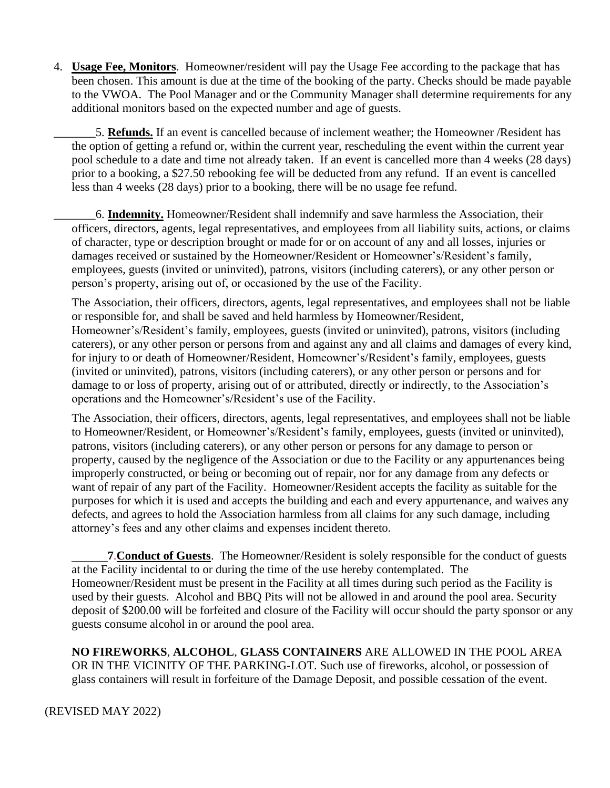4. **Usage Fee, Monitors**. Homeowner/resident will pay the Usage Fee according to the package that has been chosen. This amount is due at the time of the booking of the party. Checks should be made payable to the VWOA. The Pool Manager and or the Community Manager shall determine requirements for any additional monitors based on the expected number and age of guests.

\_\_\_\_\_\_\_5. **Refunds.** If an event is cancelled because of inclement weather; the Homeowner /Resident has the option of getting a refund or, within the current year, rescheduling the event within the current year pool schedule to a date and time not already taken. If an event is cancelled more than 4 weeks (28 days) prior to a booking, a \$27.50 rebooking fee will be deducted from any refund. If an event is cancelled less than 4 weeks (28 days) prior to a booking, there will be no usage fee refund.

\_\_\_\_\_\_\_6. **Indemnity.** Homeowner/Resident shall indemnify and save harmless the Association, their officers, directors, agents, legal representatives, and employees from all liability suits, actions, or claims of character, type or description brought or made for or on account of any and all losses, injuries or damages received or sustained by the Homeowner/Resident or Homeowner's/Resident's family, employees, guests (invited or uninvited), patrons, visitors (including caterers), or any other person or person's property, arising out of, or occasioned by the use of the Facility.

The Association, their officers, directors, agents, legal representatives, and employees shall not be liable or responsible for, and shall be saved and held harmless by Homeowner/Resident, Homeowner's/Resident's family, employees, guests (invited or uninvited), patrons, visitors (including caterers), or any other person or persons from and against any and all claims and damages of every kind, for injury to or death of Homeowner/Resident, Homeowner's/Resident's family, employees, guests (invited or uninvited), patrons, visitors (including caterers), or any other person or persons and for damage to or loss of property, arising out of or attributed, directly or indirectly, to the Association's operations and the Homeowner's/Resident's use of the Facility.

The Association, their officers, directors, agents, legal representatives, and employees shall not be liable to Homeowner/Resident, or Homeowner's/Resident's family, employees, guests (invited or uninvited), patrons, visitors (including caterers), or any other person or persons for any damage to person or property, caused by the negligence of the Association or due to the Facility or any appurtenances being improperly constructed, or being or becoming out of repair, nor for any damage from any defects or want of repair of any part of the Facility. Homeowner/Resident accepts the facility as suitable for the purposes for which it is used and accepts the building and each and every appurtenance, and waives any defects, and agrees to hold the Association harmless from all claims for any such damage, including attorney's fees and any other claims and expenses incident thereto.

 **7**.**Conduct of Guests**. The Homeowner/Resident is solely responsible for the conduct of guests at the Facility incidental to or during the time of the use hereby contemplated. The Homeowner/Resident must be present in the Facility at all times during such period as the Facility is used by their guests. Alcohol and BBQ Pits will not be allowed in and around the pool area. Security deposit of \$200.00 will be forfeited and closure of the Facility will occur should the party sponsor or any guests consume alcohol in or around the pool area.

**NO FIREWORKS**, **ALCOHOL**, **GLASS CONTAINERS** ARE ALLOWED IN THE POOL AREA OR IN THE VICINITY OF THE PARKING-LOT. Such use of fireworks, alcohol, or possession of glass containers will result in forfeiture of the Damage Deposit, and possible cessation of the event.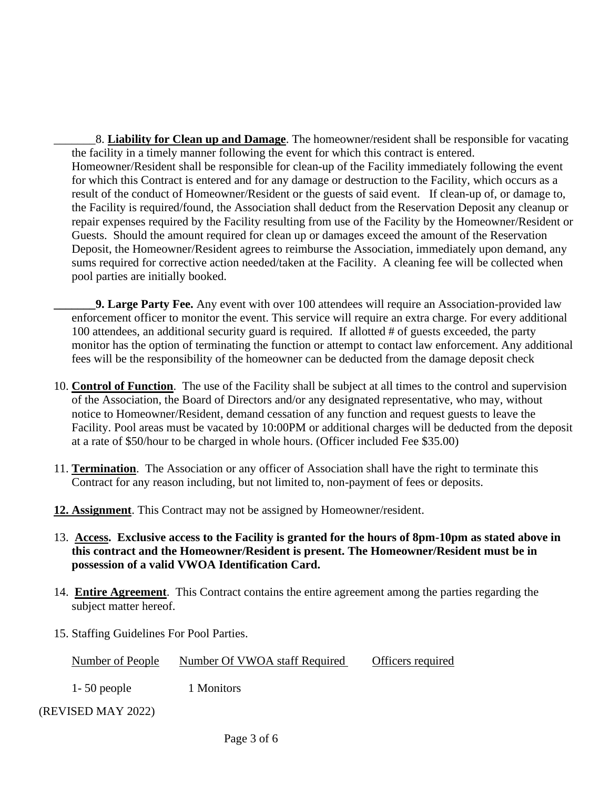\_\_\_\_\_\_\_8. **Liability for Clean up and Damage**. The homeowner/resident shall be responsible for vacating the facility in a timely manner following the event for which this contract is entered. Homeowner/Resident shall be responsible for clean-up of the Facility immediately following the event for which this Contract is entered and for any damage or destruction to the Facility, which occurs as a result of the conduct of Homeowner/Resident or the guests of said event. If clean-up of, or damage to, the Facility is required/found, the Association shall deduct from the Reservation Deposit any cleanup or repair expenses required by the Facility resulting from use of the Facility by the Homeowner/Resident or Guests. Should the amount required for clean up or damages exceed the amount of the Reservation Deposit, the Homeowner/Resident agrees to reimburse the Association, immediately upon demand, any sums required for corrective action needed/taken at the Facility. A cleaning fee will be collected when pool parties are initially booked.

**9. Large Party Fee.** Any event with over 100 attendees will require an Association-provided law enforcement officer to monitor the event. This service will require an extra charge. For every additional 100 attendees, an additional security guard is required. If allotted # of guests exceeded, the party monitor has the option of terminating the function or attempt to contact law enforcement. Any additional fees will be the responsibility of the homeowner can be deducted from the damage deposit check

- 10. **Control of Function**. The use of the Facility shall be subject at all times to the control and supervision of the Association, the Board of Directors and/or any designated representative, who may, without notice to Homeowner/Resident, demand cessation of any function and request guests to leave the Facility. Pool areas must be vacated by 10:00PM or additional charges will be deducted from the deposit at a rate of \$50/hour to be charged in whole hours. (Officer included Fee \$35.00)
- 11. **Termination**. The Association or any officer of Association shall have the right to terminate this Contract for any reason including, but not limited to, non-payment of fees or deposits.
- **12. Assignment**. This Contract may not be assigned by Homeowner/resident.
- 13. **Access. Exclusive access to the Facility is granted for the hours of 8pm-10pm as stated above in this contract and the Homeowner/Resident is present. The Homeowner/Resident must be in possession of a valid VWOA Identification Card.**
- 14. **Entire Agreement**. This Contract contains the entire agreement among the parties regarding the subject matter hereof.
- 15. Staffing Guidelines For Pool Parties.

| Number of People | Number Of VWOA staff Required | Officers required |  |
|------------------|-------------------------------|-------------------|--|
|                  |                               |                   |  |

1- 50 people 1 Monitors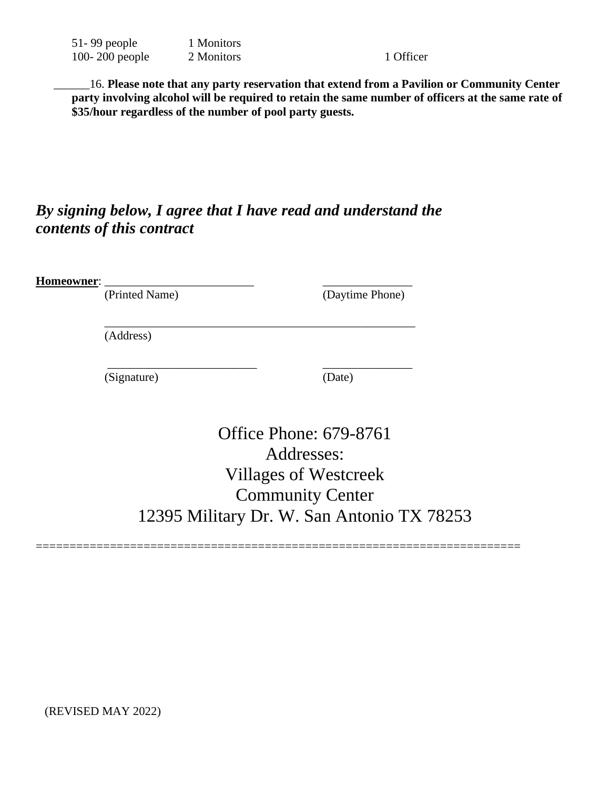\_\_\_\_\_\_16. **Please note that any party reservation that extend from a Pavilion or Community Center party involving alcohol will be required to retain the same number of officers at the same rate of \$35/hour regardless of the number of pool party guests.** 

# *By signing below, I agree that I have read and understand the contents of this contract*

Homeowner:

(Printed Name) (Daytime Phone)

 \_\_\_\_\_\_\_\_\_\_\_\_\_\_\_\_\_\_\_\_\_\_\_\_\_\_\_\_\_\_\_\_\_\_\_\_\_\_\_\_\_\_\_\_\_\_\_\_\_\_\_\_ (Address)

(Signature) (Date)

\_\_\_\_\_\_\_\_\_\_\_\_\_\_\_\_\_\_\_\_\_\_\_\_\_ \_\_\_\_\_\_\_\_\_\_\_\_\_\_\_

Office Phone: 679-8761 Addresses: Villages of Westcreek Community Center 12395 Military Dr. W. San Antonio TX 78253

========================================================================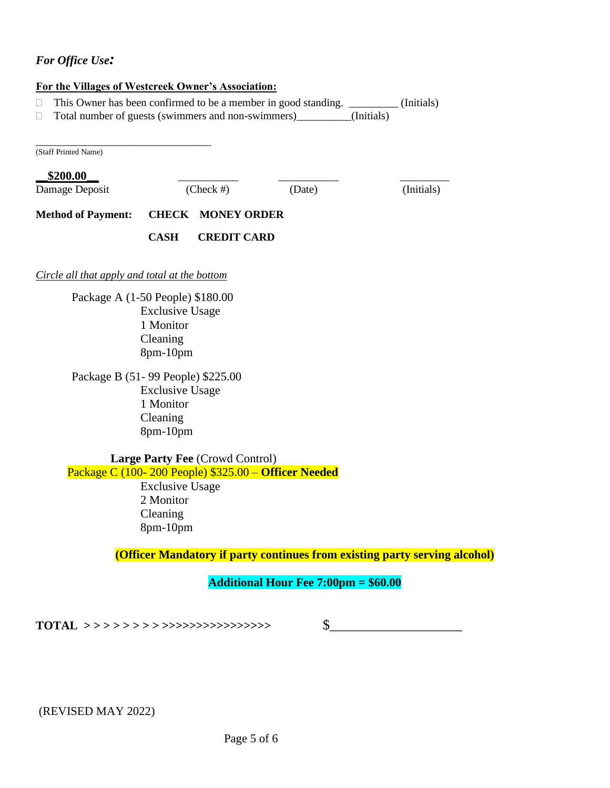## *For Office Use:*

| This Owner has been confirmed to be a member in good standing. __________ (Initials) |                        |                                                      |  |  |                                                                            |
|--------------------------------------------------------------------------------------|------------------------|------------------------------------------------------|--|--|----------------------------------------------------------------------------|
| Total number of guests (swimmers and non-swimmers) ___________(Initials)<br>$\Box$   |                        |                                                      |  |  |                                                                            |
|                                                                                      |                        |                                                      |  |  |                                                                            |
| (Staff Printed Name)                                                                 |                        |                                                      |  |  |                                                                            |
| \$200.00                                                                             |                        |                                                      |  |  |                                                                            |
| Damage Deposit                                                                       | $(Check \#)$<br>(Date) |                                                      |  |  | (Initials)                                                                 |
| <b>Method of Payment:</b>                                                            |                        | <b>CHECK MONEY ORDER</b>                             |  |  |                                                                            |
|                                                                                      | <b>CASH</b>            | <b>CREDIT CARD</b>                                   |  |  |                                                                            |
|                                                                                      |                        |                                                      |  |  |                                                                            |
| Circle all that apply and total at the bottom                                        |                        |                                                      |  |  |                                                                            |
| Package A (1-50 People) \$180.00                                                     |                        |                                                      |  |  |                                                                            |
|                                                                                      | <b>Exclusive Usage</b> |                                                      |  |  |                                                                            |
|                                                                                      | 1 Monitor              |                                                      |  |  |                                                                            |
|                                                                                      | Cleaning               |                                                      |  |  |                                                                            |
|                                                                                      | 8pm-10pm               |                                                      |  |  |                                                                            |
| Package B (51-99 People) \$225.00                                                    |                        |                                                      |  |  |                                                                            |
|                                                                                      | <b>Exclusive Usage</b> |                                                      |  |  |                                                                            |
|                                                                                      | 1 Monitor              |                                                      |  |  |                                                                            |
|                                                                                      | Cleaning               |                                                      |  |  |                                                                            |
|                                                                                      | 8pm-10pm               |                                                      |  |  |                                                                            |
|                                                                                      |                        | Large Party Fee (Crowd Control)                      |  |  |                                                                            |
|                                                                                      |                        | Package C (100-200 People) \$325.00 - Officer Needed |  |  |                                                                            |
|                                                                                      | <b>Exclusive Usage</b> |                                                      |  |  |                                                                            |
|                                                                                      | 2 Monitor              |                                                      |  |  |                                                                            |
|                                                                                      | Cleaning               |                                                      |  |  |                                                                            |
|                                                                                      | 8pm-10pm               |                                                      |  |  |                                                                            |
|                                                                                      |                        |                                                      |  |  | (Officer Mandatory if party continues from existing party serving alcohol) |
|                                                                                      |                        |                                                      |  |  |                                                                            |

# **Additional Hour Fee 7:00pm = \$60.00**

**TOTAL > > > > > > > > >>>>>>>>>>>>>>>>** \$\_\_\_\_\_\_\_\_\_\_\_\_\_\_\_\_\_\_\_